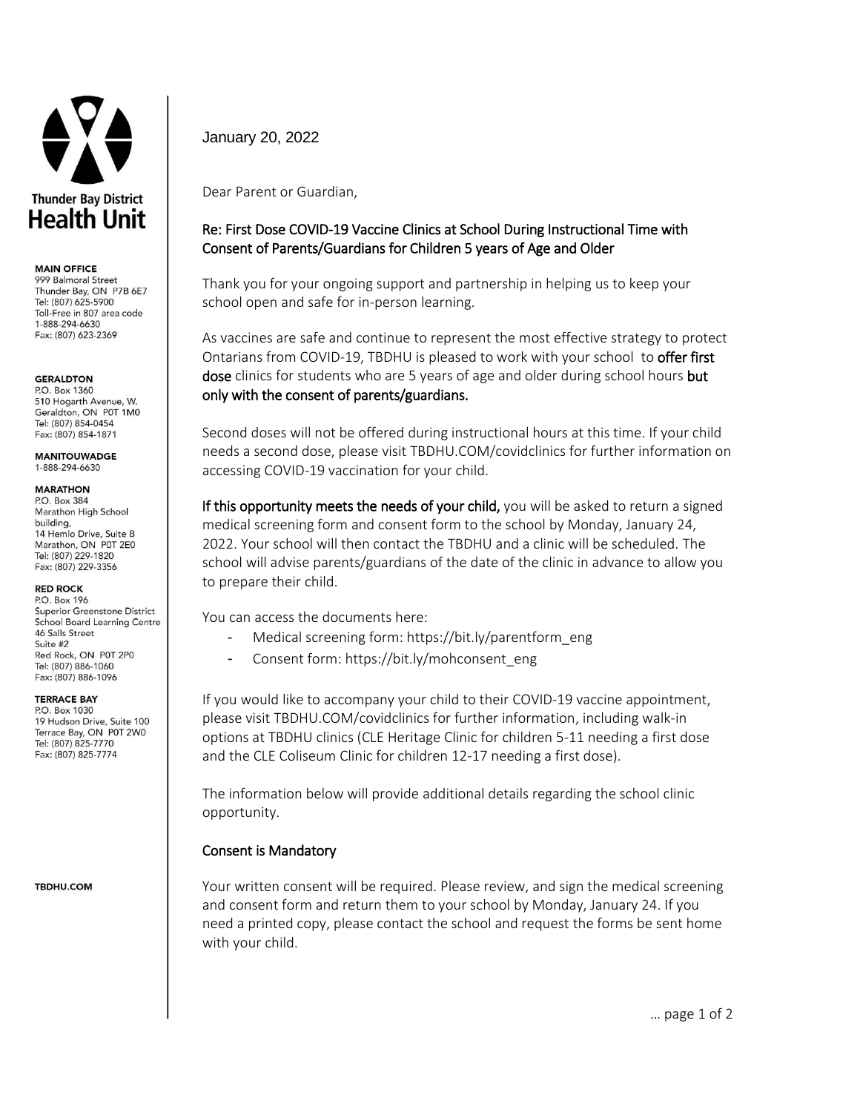

#### **MAIN OFFICE**

999 Balmoral Street Thunder Bay, ON P7B 6E7 Tel: (807) 625-5900 Toll-Free in 807 area code 1-888-294-6630 Fax: (807) 623-2369

### **GERALDTON**

P.O. Box 1360 510 Hogarth Avenue, W. Geraldton, ON P0T 1M0 Tel: (807) 854-0454 Fax: (807) 854-1871

**MANITOUWADGE** 1-888-294-6630

#### **MARATHON**

P.O. Box 384 Marathon High School building, 14 Hemlo Drive, Suite B Marathon, ON P0T 2E0 Tel: (807) 229-1820 Fax: (807) 229-3356

### **RED ROCK**

P.O. Box 196 Superior Greenstone District **School Board Learning Centre** 46 Salls Street Suite #2 Red Rock, ON P0T 2P0 Tel: (807) 886-1060 Fax: (807) 886-1096

### **TERRACE BAY**

P.O. Box 1030 19 Hudson Drive, Suite 100 Terrace Bay, ON P0T 2W0 Tel: (807) 825-7770 Fax: (807) 825-7774

**TBDHU.COM** 

January 20, 2022

Dear Parent or Guardian,

# Re: First Dose COVID-19 Vaccine Clinics at School During Instructional Time with Consent of Parents/Guardians for Children 5 years of Age and Older

Thank you for your ongoing support and partnership in helping us to keep your school open and safe for in-person learning.

As vaccines are safe and continue to represent the most effective strategy to protect Ontarians from COVID-19, TBDHU is pleased to work with your school to offer first dose clinics for students who are 5 years of age and older during school hours but only with the consent of parents/guardians.

Second doses will not be offered during instructional hours at this time. If your child needs a second dose, please visit TBDHU.COM/covidclinics for further information on accessing COVID-19 vaccination for your child.

If this opportunity meets the needs of your child, you will be asked to return a signed medical screening form and consent form to the school by Monday, January 24, 2022. Your school will then contact the TBDHU and a clinic will be scheduled. The school will advise parents/guardians of the date of the clinic in advance to allow you to prepare their child.

You can access the documents here:

- Medical screening form[: https://bit.ly/parentform\\_eng](https://bit.ly/parentform_eng)
- Consent form[: https://bit.ly/mohconsent\\_eng](https://linkprotect.cudasvc.com/url?a=https%3a%2f%2fbit.ly%2fmohconsent_eng&c=E,1,sW1Te4sRYfKCysUsckGdKPKXvJCSw_S3tDjkTfKBY_52S__Bpae1Gl7dawO5Bc6zG0tWkGb99M915Sm2OohYnik8yvE5DL2httUNv5nNbpJf8nxdPTQ,&typo=1)

If you would like to accompany your child to their COVID-19 vaccine appointment, please visit TBDHU.COM/covidclinics for further information, including walk-in options at TBDHU clinics (CLE Heritage Clinic for children 5-11 needing a first dose and the CLE Coliseum Clinic for children 12-17 needing a first dose).

The information below will provide additional details regarding the school clinic opportunity.

## Consent is Mandatory

Your written consent will be required. Please review, and sign the medical screening and consent form and return them to your school by Monday, January 24. If you need a printed copy, please contact the school and request the forms be sent home with your child.